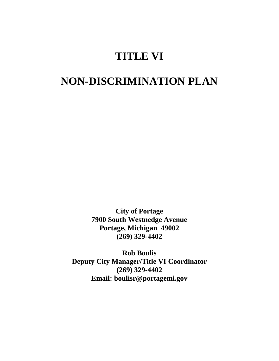# **TITLE VI**

# **NON-DISCRIMINATION PLAN**

**City of Portage 7900 South Westnedge Avenue Portage, Michigan 49002 (269) 329-4402** 

**Rob Boulis Deputy City Manager/Title VI Coordinator (269) 329-4402 Email: boulisr@portagemi.gov**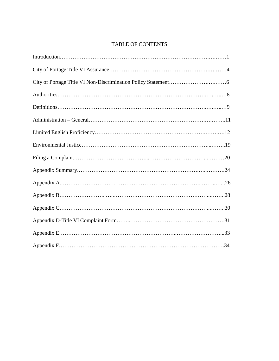# TABLE OF CONTENTS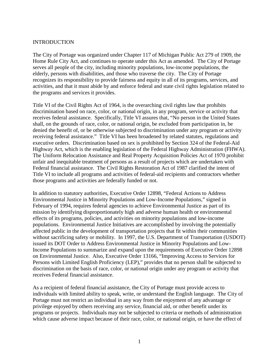#### INTRODUCTION

The City of Portage was organized under Chapter 117 of Michigan Public Act 279 of 1909, the Home Rule City Act, and continues to operate under this Act as amended. The City of Portage serves all people of the city, including minority populations, low-income populations, the elderly, persons with disabilities, and those who traverse the city. The City of Portage recognizes its responsibility to provide fairness and equity in all of its programs, services, and activities, and that it must abide by and enforce federal and state civil rights legislation related to the programs and services it provides.

Title VI of the Civil Rights Act of 1964, is the overarching civil rights law that prohibits discrimination based on race, color, or national origin, in any program, service or activity that receives federal assistance. Specifically, Title VI assures that, "No person in the United States shall, on the grounds of race, color, or national origin, be excluded from participation in, be denied the benefit of, or be otherwise subjected to discrimination under any program or activity receiving federal assistance." Title VI has been broadened by related statutes, regulations and executive orders. Discrimination based on sex is prohibited by Section 324 of the Federal-Aid Highway Act, which is the enabling legislation of the Federal Highway Administration (FHWA). The Uniform Relocation Assistance and Real Property Acquisition Policies Act of 1970 prohibit unfair and inequitable treatment of persons as a result of projects which are undertaken with Federal financial assistance. The Civil Rights Restoration Act of 1987 clarified the intent of Title VI to include all programs and activities of federal-aid recipients and contractors whether those programs and activities are federally funded or not.

In addition to statutory authorities, Executive Order 12898, "Federal Actions to Address Environmental Justice in Minority Populations and Low-Income Populations," signed in February of 1994, requires federal agencies to achieve Environmental Justice as part of its mission by identifying disproportionately high and adverse human health or environmental effects of its programs, policies, and activities on minority populations and low-income populations. Environmental Justice Initiatives are accomplished by involving the potentially affected public in the development of transportation projects that fit within their communities without sacrificing safety or mobility. In 1997, the U.S. Department of Transportation (USDOT) issued its DOT Order to Address Environmental Justice in Minority Populations and Low-Income Populations to summarize and expand upon the requirements of Executive Order 12898 on Environmental Justice. Also, Executive Order 13166, "Improving Access to Services for Persons with Limited English Proficiency (LEP)," provides that no person shall be subjected to discrimination on the basis of race, color, or national origin under any program or activity that receives Federal financial assistance.

As a recipient of federal financial assistance, the City of Portage must provide access to individuals with limited ability to speak, write, or understand the English language. The City of Portage must not restrict an individual in any way from the enjoyment of any advantage or privilege enjoyed by others receiving any service, financial aid, or other benefit under its programs or projects. Individuals may not be subjected to criteria or methods of administration which cause adverse impact because of their race, color, or national origin, or have the effect of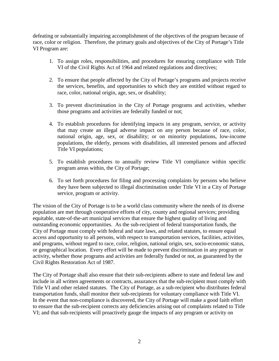defeating or substantially impairing accomplishment of the objectives of the program because of race, color or religion. Therefore, the primary goals and objectives of the City of Portage's Title VI Program are:

- 1. To assign roles, responsibilities, and procedures for ensuring compliance with Title VI of the Civil Rights Act of 1964 and related regulations and directives;
- 2. To ensure that people affected by the City of Portage's programs and projects receive the services, benefits, and opportunities to which they are entitled without regard to race, color, national origin, age, sex, or disability;
- 3. To prevent discrimination in the City of Portage programs and activities, whether those programs and activities are federally funded or not;
- 4. To establish procedures for identifying impacts in any program, service, or activity that may create an illegal adverse impact on any person because of race, color, national origin, age, sex, or disability; or on minority populations, low-income populations, the elderly, persons with disabilities, all interested persons and affected Title VI populations;
- 5. To establish procedures to annually review Title VI compliance within specific program areas within, the City of Portage;
- 6. To set forth procedures for filing and processing complaints by persons who believe they have been subjected to illegal discrimination under Title VI in a City of Portage service, program or activity.

The vision of the City of Portage is to be a world class community where the needs of its diverse population are met through cooperative efforts of city, county and regional services; providing equitable, state-of-the-art municipal services that ensure the highest quality of living and outstanding economic opportunities. As the sub-recipient of federal transportation funds, the City of Portage must comply with federal and state laws, and related statutes, to ensure equal access and opportunity to all persons, with respect to transportation services, facilities, activities, and programs, without regard to race, color, religion, national origin, sex, socio-economic status, or geographical location. Every effort will be made to prevent discrimination in any program or activity, whether those programs and activities are federally funded or not, as guaranteed by the Civil Rights Restoration Act of 1987.

The City of Portage shall also ensure that their sub-recipients adhere to state and federal law and include in all written agreements or contracts, assurances that the sub-recipient must comply with Title VI and other related statutes. The City of Portage, as a sub-recipient who distributes federal transportation funds, shall monitor their sub-recipients for voluntary compliance with Title VI. In the event that non-compliance is discovered, the City of Portage will make a good faith effort to ensure that the sub-recipient corrects any deficiencies arising out of complaints related to Title VI; and that sub-recipients will proactively gauge the impacts of any program or activity on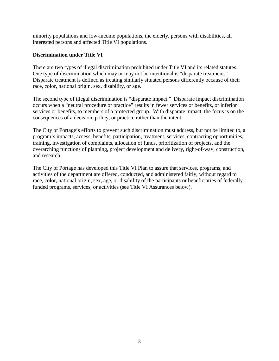minority populations and low-income populations, the elderly, persons with disabilities, all interested persons and affected Title VI populations.

## **Discrimination under Title VI**

There are two types of illegal discrimination prohibited under Title VI and its related statutes. One type of discrimination which may or may not be intentional is "disparate treatment." Disparate treatment is defined as treating similarly situated persons differently because of their race, color, national origin, sex, disability, or age.

The second type of illegal discrimination is "disparate impact." Disparate impact discrimination occurs when a "neutral procedure or practice" results in fewer services or benefits, or inferior services or benefits, to members of a protected group. With disparate impact, the focus is on the consequences of a decision, policy, or practice rather than the intent.

The City of Portage's efforts to prevent such discrimination must address, but not be limited to, a program's impacts, access, benefits, participation, treatment, services, contracting opportunities, training, investigation of complaints, allocation of funds, prioritization of projects, and the overarching functions of planning, project development and delivery, right-of-way, construction, and research.

The City of Portage has developed this Title VI Plan to assure that services, programs, and activities of the department are offered, conducted, and administered fairly, without regard to race, color, national origin, sex, age, or disability of the participants or beneficiaries of federally funded programs, services, or activities (see Title VI Assurances below).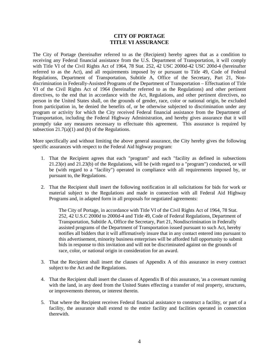#### **CITY OF PORTAGE TITLE VI ASSURANCE**

The City of Portage (hereinafter referred to as the (Recipient) hereby agrees that as a condition to receiving any Federal financial assistance from the U.S. Department of Transportation, it will comply with Title VI of the Civil Rights Act of 1964, 78 Stat. 252, 42 USC 2000d-42 USC 200d-4 (hereinafter referred to as the Act), and all requirements imposed by or pursuant to Title 49, Code of Federal Regulations, Department of Transportation, Subtitle A, Office of the Secretary, Part 21, Nondiscrimination in Federally-Assisted Programs of the Department of Transportation – Effectuation of Title VI of the Civil Rights Act of 1964 (hereinafter referred to as the Regulations) and other pertinent directives, to the end that in accordance with the Act, Regulations, and other pertinent directives, no person in the United States shall, on the grounds of gender, race, color or national origin, be excluded from participation in, be denied the benefits of, or be otherwise subjected to discrimination under any program or activity for which the City received Federal financial assistance from the Department of Transportation, including the Federal Highway Administration, and hereby gives assurance that it will promptly take any measures necessary to effectuate this agreement. This assurance is required by subsection  $21.7(a)(1)$  and (b) of the Regulations.

More specifically and without limiting the above general assurance, the City hereby gives the following specific assurances with respect to the Federal Aid highway program:

- 1. That the Recipient agrees that each "program" and each "facility as defined in subsections 21.23(e) and 21.23(b) of the Regulations, will be (with regard to a "program") conducted, or will be (with regard to a "facility") operated in compliance with all requirements imposed by, or pursuant to, the Regulations.
- 2. That the Recipient shall insert the following notification in all solicitations for bids for work or material subject to the Regulations and made in connection with all Federal Aid Highway Programs and, in adapted form in all proposals for negotiated agreements:

The City of Portage, in accordance with Title VI of the Civil Rights Act of 1964, 78 Stat. 252, 42 U.S.C 2000d to 2000d-4 and Title 49, Code of Federal Regulations, Department of Transportation, Subtitle A, Office the Secretary, Part 21, Nondiscrimination in Federally assisted programs of the Department of Transportation issued pursuant to such Act, hereby notifies all bidders that it will affirmatively insure that in any contact entered into pursuant to this advertisement, minority business enterprises will be afforded full opportunity to submit bids in response to this invitation and will not be discriminated against on the grounds of race, color, or national origin in consideration for an award.

- 3. That the Recipient shall insert the clauses of Appendix A of this assurance in every contract subject to the Act and the Regulations.
- 4. That the Recipient shall insert the clauses of Appendix B of this assurance, 'as a covenant running with the land, in any deed from the United States effecting a transfer of real property, structures, or improvements thereon, or interest therein.
- 5. That where the Recipient receives Federal financial assistance to construct a facility, or part of a facility, the assurance shall extend to the entire facility and facilities operated in connection therewith.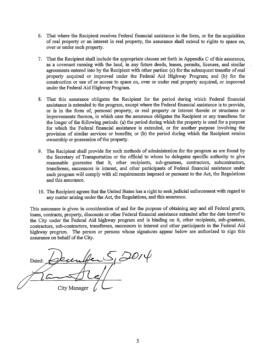- 6. That where the Recipient receives Federal financial assistance in the form, or for the acquisition of real property or an interest in real property, the assurance shall extend to rights to space on, over or under such property.
- 7. That the Recipient shall include the appropriate clauses set forth in Appendix C of this assurance, as a covenant running with the land, in any future deeds, leases, permits, licenses, and similar agreements entered into by the Recipient with other parties: (a) for the subsequent transfer of real property acquired or improved under the Federal Aid Highway Program; and (b) for the construction or use of or access to space on, over or under real property acquired, or improved under the Federal Aid Highway Program.
- 8. That this assurance obligates the Recipient for the period during which Federal financial assistance is extended to the program, except where the Federal financial assistance is to provide, or is in the form of, personal property, or real property or interest therein or structures or improvements thereon, in which case the assurance obligates the Recipient or any transferee for the longer of the following periods: (a) the period during which the property is used for a purpose for which the Federal financial assistance is extended, or for another purpose involving the provision of similar services or benefits; or (b) the period during which the Recipient retains ownership or possession of the property.
- 9. The Recipient shall provide for such methods of administration for the program as are found by the Secretary of Transportation or the official to whom he delegates specific authority to give reasonable guarantee that it, other recipients, sub-grantees, contractors, subcontractors, transferees, successors in interest, and other participants of Federal financial assistance under such program will comply with all requirements imposed or pursuant to the Act, the Regulations and this assurance.
- 10. The Recipient agrees that the United States has a right to seek judicial enforcement with regard to any matter arising under the Act, the Regulations, and this assurance.

This assurance is given in consideration of and for the purpose of obtaining any and all Federal grants, loans, contracts, property, discounts or other Federal financial assistance extended after the date hereof to the City under the Federal Aid highway program and is binding on it, other recipients, sub-grantees, contractors, sub-contractors, transferees, successors in interest and other participants in the Federal Aid highway program. The person or persons whose signatures appear below are authorized to sign this assurance on behalf of the City.

 $2014$ Dated: City Manager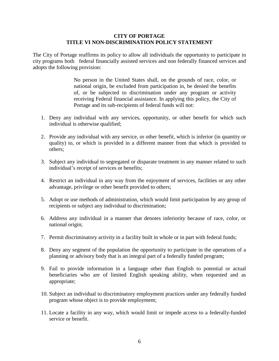#### **CITY OF PORTAGE TITLE VI NON-DISCRIMINATION POLICY STATEMENT**

The City of Portage reaffirms its policy to allow all individuals the opportunity to participate in city programs both federal financially assisted services and non federally financed services and adopts the following provision:

> No person in the United States shall, on the grounds of race, color, or national origin, be excluded from participation in, be denied the benefits of, or be subjected to discrimination under any program or activity receiving Federal financial assistance. In applying this policy, the City of Portage and its sub-recipients of federal funds will not:

- 1. Deny any individual with any services, opportunity, or other benefit for which such individual is otherwise qualified;
- 2. Provide any individual with any service, or other benefit, which is inferior (in quantity or quality) to, or which is provided in a different manner from that which is provided to others;
- 3. Subject any individual to segregated or disparate treatment in any manner related to such individual's receipt of services or benefits;
- 4. Restrict an individual in any way from the enjoyment of services, facilities or any other advantage, privilege or other benefit provided to others;
- 5. Adopt or use methods of administration, which would limit participation by any group of recipients or subject any individual to discrimination;
- 6. Address any individual in a manner that denotes inferiority because of race, color, or national origin;
- 7. Permit discriminatory activity in a facility built in whole or in part with federal funds;
- 8. Deny any segment of the population the opportunity to participate in the operations of a planning or advisory body that is an integral part of a federally funded program;
- 9. Fail to provide information in a language other than English to potential or actual beneficiaries who are of limited English speaking ability, when requested and as appropriate;
- 10. Subject an individual to discriminatory employment practices under any federally funded program whose object is to provide employment;
- 11. Locate a facility in any way, which would limit or impede access to a federally-funded service or benefit.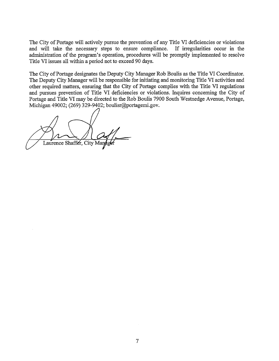The City of Portage will actively pursue the prevention of any Title VI deficiencies or violations and will take the necessary steps to ensure compliance. If irregularities occur in the administration of the program's operation, procedures will be promptly implemented to resolve Title VI issues all within a period not to exceed 90 days.

The City of Portage designates the Deputy City Manager Rob Boulis as the Title VI Coordinator. The Deputy City Manager will be responsible for initiating and monitoring Title VI activities and other required matters, ensuring that the City of Portage complies with the Title VI regulations and pursues prevention of Title VI deficiencies or violations. Inquires concerning the City of Portage and Title VI may be directed to the Rob Boulis 7900 South Westnedge Avenue, Portage, Michigan 49002; (269) 329-9402; boulisr@portagemi.gov.

Laurence Shaffer, City Man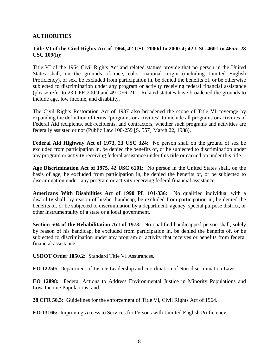## **AUTHORITIES**

## **Title VI of the Civil Rights Act of 1964, 42 USC 2000d to 2000-4; 42 USC 4601 to 4655; 23 USC 109(h);**

Title VI of the 1964 Civil Rights Act and related statues provide that no person in the United States shall, on the grounds of race, color, national origin (including Limited English Proficiency), or sex, be excluded from participation in, be denied the benefits of, or be otherwise subjected to discrimination under any program or activity receiving federal financial assistance (please refer to 23 CFR 200.9 and 49 CFR 21). Related statutes have broadened the grounds to include age, low income, and disability.

The Civil Rights Restoration Act of 1987 also broadened the scope of Title VI coverage by expanding the definition of terms "programs or activities" to include all programs or activities of Federal Aid recipients, sub-recipients, and contractors, whether such programs and activities are federally assisted or not (Public Law 100-259 [S. 557] March 22, 1988).

**Federal Aid Highway Act of 1973, 23 USC 324:** No person shall on the ground of sex be excluded from participation in, be denied the benefits of, or be subjected to discrimination under any program or activity receiving federal assistance under this title or carried on under this title.

**Age Discrimination Act of 1975, 42 USC 6101:** No person in the United States shall, on the basis of age, be excluded from participation in, be denied the benefits of, or be subjected to discrimination under, any program or activity receiving federal financial assistance.

**Americans With Disabilities Act of 1990 PL 101-336:** No qualified individual with a disability shall, by reason of his/her handicap, be excluded from participation in, be denied the benefits of, or be subjected to discrimination by a department, agency, special purpose district, or other instrumentality of a state or a local government.

**Section 504 of the Rehabilitation Act of 1973:** No qualified handicapped person shall, solely by reason of his handicap, be excluded from participation in, be denied the benefits of, or be subjected to discrimination under any program or activity that receives or benefits from federal financial assistance.

**USDOT Order 1050.2:** Standard Title VI Assurances.

**EO 12250:** Department of Justice Leadership and coordination of Non-discrimination Laws.

**EO 12898:** Federal Actions to Address Environmental Justice in Minority Populations and Low-Income Populations; and

**28 CFR 50.3:** Guidelines for the enforcement of Title VI, Civil Rights Act of 1964.

**EO 13166:** Improving Access to Services for Persons with Limited English Proficiency.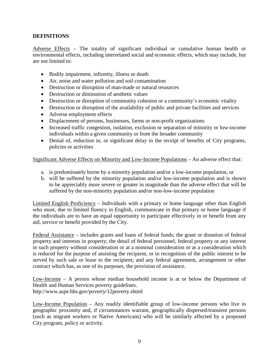## **DEFINITIONS**

Adverse Effects – The totality of significant individual or cumulative human health or environmental effects, including interrelated social and economic effects, which may include, but are not limited to:

- Bodily impairment, infirmity, illness or death
- Air, noise and water pollution and soil contamination
- Destruction or disruption of man-made or natural resources
- Destruction or diminution of aesthetic values
- Destruction or disruption of community cohesion or a community's economic vitality
- Destruction or disruption of the availability of public and private facilities and services
- Adverse employment effects
- Displacement of persons, businesses, farms or non-profit organizations
- Increased traffic congestion, isolation, exclusion or separation of minority or low-income individuals within a given community or from the broader community
- Denial of, reduction in, or significant delay in the receipt of benefits of City programs, policies or activities

Significant Adverse Effects on Minority and Low-Income Populations – An adverse effect that:

- a. is predominately borne by a minority population and/or a low-income population, or
- b. will be suffered by the minority population and/or low-income population and is shown to be appreciably more severe or greater in magnitude than the adverse effect that will be suffered by the non-minority population and/or non-low-income population

Limited English Proficiency – Individuals with a primary or home language other than English who must, due to limited fluency in English, communicate in that primary or home language if the individuals are to have an equal opportunity to participate effectively in or benefit from any aid, service or benefit provided by the City.

Federal Assistance – includes grants and loans of federal funds; the grant or donation of federal property and interests in property; the detail of federal personnel, federal property or any interest in such property without consideration or at a nominal consideration or at a consideration which is reduced for the purpose of assisting the recipient, or in recognition of the public interest to be served by such sale or lease to the recipient; and any federal agreement, arrangement or other contract which has, as one of its purposes, the provision of assistance.

Low-Income – A person whose median household income is at or below the Department of Health and Human Services poverty guidelines. http://www.aspe.hhs.gov/poverty/12poverty.shtml

Low-Income Population – Any readily identifiable group of low-income persons who live in geographic proximity and, if circumstances warrant, geographically dispersed/transient persons (such as migrant workers or Native Americans) who will be similarly affected by a proposed City program, policy or activity.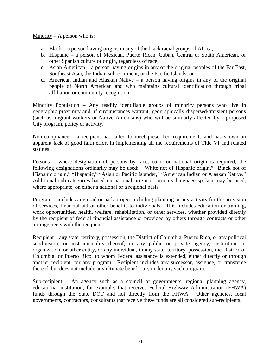Minority – A person who is:

- a. Black a person having origins in any of the black racial groups of Africa;
- b. Hispanic a person of Mexican, Puerto Rican, Cuban, Central or South American, or other Spanish culture or origin, regardless of race;
- c. Asian American a person having origins in any of the original peoples of the Far East, Southeast Asia, the Indian sub-continent, or the Pacific Islands; or
- d. American Indian and Alaskan Native a person having origins in any of the original people of North American and who maintains cultural identification through tribal affiliation or community recognition.

Minority Population – Any readily identifiable groups of minority persons who live in geographic proximity and, if circumstances warrant, geographically dispersed/transient persons (such as migrant workers or Native Americans) who will be similarly affected by a proposed City program, policy or activity.

Non-compliance – a recipient has failed to meet prescribed requirements and has shown an apparent lack of good faith effort in implementing all the requirements of Title VI and related statutes.

Persons – where designation of persons by race, color or national origin is required, the following designations ordinarily may be used: "White not of Hispanic origin," "Black not of Hispanic origin," "Hispanic," "Asian or Pacific Islander," "American Indian or Alaskan Native." Additional sub-categories based on national origin or primary language spoken may be used, where appropriate, on either a national or a regional basis.

Program – includes any road or park project including planning or any activity for the provision of services, financial aid or other benefits to individuals. This includes education or training, work opportunities, health, welfare, rehabilitation, or other services, whether provided directly by the recipient of federal financial assistance or provided by others through contracts or other arrangements with the recipient.

Recipient – any state, territory, possession, the District of Columbia, Puerto Rico, or any political subdivision, or instrumentality thereof, or any public or private agency, institution, or organization, or other entity, or any individual, in any state, territory, possession, the District of Columbia, or Puerto Rico, to whom Federal assistance is extended, either directly or through another recipient, for any program. Recipient includes any successor, assignee, or transferee thereof, but does not include any ultimate beneficiary under any such program.

Sub-recipient – An agency such as a council of governments, regional planning agency, educational institution, for example, that receives Federal Highway Administration (FHWA) funds through the State DOT and not directly from the FHWA. Other agencies, local governments, contractors, consultants that receive these funds are all considered sub-recipients.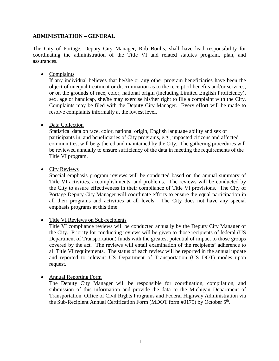## **ADMINISTRATION – GENERAL**

The City of Portage, Deputy City Manager, Rob Boulis, shall have lead responsibility for coordinating the administration of the Title VI and related statutes program, plan, and assurances.

• Complaints

If any individual believes that he/she or any other program beneficiaries have been the object of unequal treatment or discrimination as to the receipt of benefits and/or services, or on the grounds of race, color, national origin (including Limited English Proficiency), sex, age or handicap, she/he may exercise his/her right to file a complaint with the City. Complaints may be filed with the Deputy City Manager. Every effort will be made to resolve complaints informally at the lowest level.

• Data Collection

Statistical data on race, color, national origin, English language ability and sex of participants in, and beneficiaries of City programs, e.g., impacted citizens and affected communities, will be gathered and maintained by the City. The gathering procedures will be reviewed annually to ensure sufficiency of the data in meeting the requirements of the Title VI program.

• City Reviews

Special emphasis program reviews will be conducted based on the annual summary of Title VI activities, accomplishments, and problems. The reviews will be conducted by the City to assure effectiveness in their compliance of Title VI provisions. The City of Portage Deputy City Manager will coordinate efforts to ensure the equal participation in all their programs and activities at all levels. The City does not have any special emphasis programs at this time.

• Title VI Reviews on Sub-recipients

Title VI compliance reviews will be conducted annually by the Deputy City Manager of the City. Priority for conducting reviews will be given to those recipients of federal (US Department of Transportation) funds with the greatest potential of impact to those groups covered by the act. The reviews will entail examination of the recipients' adherence to all Title VI requirements. The status of each review will be reported in the annual update and reported to relevant US Department of Transportation (US DOT) modes upon request.

• Annual Reporting Form

The Deputy City Manager will be responsible for coordination, compilation, and submission of this information and provide the data to the Michigan Department of Transportation, Office of Civil Rights Programs and Federal Highway Administration via the Sub-Recipient Annual Certification Form (MDOT form  $\#0179$ ) by October  $5<sup>th</sup>$ .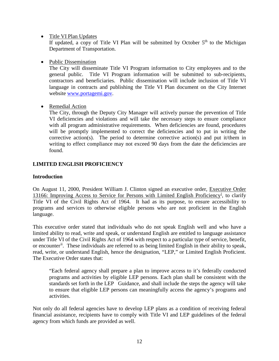• Title VI Plan Updates

If updated, a copy of Title VI Plan will be submitted by October  $5<sup>th</sup>$  to the Michigan Department of Transportation.

• Public Dissemination

The City will disseminate Title VI Program information to City employees and to the general public. Title VI Program information will be submitted to sub-recipients, contractors and beneficiaries. Public dissemination will include inclusion of Title VI language in contracts and publishing the Title VI Plan document on the City Internet website [www.portagemi.gov.](http://www.portagemi.gov/)

• Remedial Action

The City, through the Deputy City Manager will actively pursue the prevention of Title VI deficiencies and violations and will take the necessary steps to ensure compliance with all program administrative requirements. When deficiencies are found, procedures will be promptly implemented to correct the deficiencies and to put in writing the corrective action(s). The period to determine corrective action(s) and put it/them in writing to effect compliance may not exceed 90 days from the date the deficiencies are found.

## **LIMITED ENGLISH PROFICIENCY**

## **Introduction**

On August 11, 2000, President William J. Clinton signed an executive order, Executive Order 13166: Improv[i](#page-36-0)ng Access to Service for Persons with Limited English Proficiency<sup>i</sup>, to clarify Title VI of the Civil Rights Act of 1964. It had as its purpose, to ensure accessibility to programs and services to otherwise eligible persons who are not proficient in the English language.

This executive order stated that individuals who do not speak English well and who have a limited ability to read, write and speak, or understand English are entitled to language assistance under Title VI of the Civil Rights Act of 1964 with respect to a particular type of service, benefit, or encounter<sup>ii</sup>. These individuals are referred to as being limited English in their ability to speak, read, write, or understand English, hence the designation, "LEP," or Limited English Proficient. The Executive Order states that:

"Each federal agency shall prepare a plan to improve access to it's federally conducted programs and activities by eligible LEP persons. Each plan shall be consistent with the standards set forth in the LEP Guidance, and shall include the steps the agency will take to ensure that eligible LEP persons can meaningfully access the agency's programs and activities.

Not only do all federal agencies have to develop LEP plans as a condition of receiving federal financial assistance, recipients have to comply with Title VI and LEP guidelines of the federal agency from which funds are provided as well.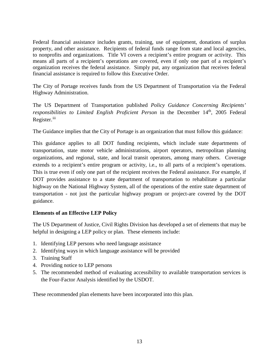Federal financial assistance includes grants, training, use of equipment, donations of surplus property, and other assistance. Recipients of federal funds range from state and local agencies, to nonprofits and organizations. Title VI covers a recipient's entire program or activity. This means all parts of a recipient's operations are covered, even if only one part of a recipient's organization receives the federal assistance. Simply put, any organization that receives federal financial assistance is required to follow this Executive Order.

The City of Portage receives funds from the US Department of Transportation via the Federal Highway Administration.

The US Department of Transportation published *Policy Guidance Concerning Recipients' responsibilities to Limited English Proficient Person* in the December 14<sup>th</sup>, 2005 Federal Register.<sup>[iii](#page-36-2)</sup>

The Guidance implies that the City of Portage is an organization that must follow this guidance:

This guidance applies to all DOT funding recipients, which include state departments of transportation, state motor vehicle administrations, airport operators, metropolitan planning organizations, and regional, state, and local transit operators, among many others. Coverage extends to a recipient's entire program or activity, i.e., to all parts of a recipient's operations. This is true even if only one part of the recipient receives the Federal assistance. For example, if DOT provides assistance to a state department of transportation to rehabilitate a particular highway on the National Highway System, all of the operations of the entire state department of transportation - not just the particular highway program or project-are covered by the DOT guidance.

## **Elements of an Effective LEP Policy**

The US Department of Justice, Civil Rights Division has developed a set of elements that may be helpful in designing a LEP policy or plan. These elements include:

- 1. Identifying LEP persons who need language assistance
- 2. Identifying ways in which language assistance will be provided
- 3. Training Staff
- 4. Providing notice to LEP persons
- 5. The recommended method of evaluating accessibility to available transportation services is the Four-Factor Analysis identified by the USDOT.

These recommended plan elements have been incorporated into this plan.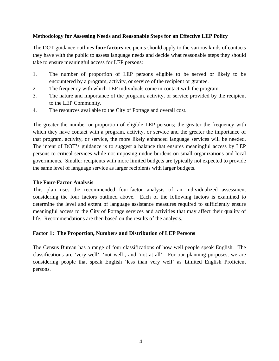## **Methodology for Assessing Needs and Reasonable Steps for an Effective LEP Policy**

The DOT guidance outlines **four factors** recipients should apply to the various kinds of contacts they have with the public to assess language needs and decide what reasonable steps they should take to ensure meaningful access for LEP persons:

- 1. The number of proportion of LEP persons eligible to be served or likely to be encountered by a program, activity, or service of the recipient or grantee.
- 2. The frequency with which LEP individuals come in contact with the program.
- 3. The nature and importance of the program, activity, or service provided by the recipient to the LEP Community.
- 4. The resources available to the City of Portage and overall cost.

The greater the number or proportion of eligible LEP persons; the greater the frequency with which they have contact with a program, activity, or service and the greater the importance of that program, activity, or service, the more likely enhanced language services will be needed. The intent of DOT's guidance is to suggest a balance that ensures meaningful access by LEP persons to critical services while not imposing undue burdens on small organizations and local governments. Smaller recipients with more limited budgets are typically not expected to provide the same level of language service as larger recipients with larger budgets.

#### **The Four-Factor Analysis**

This plan uses the recommended four-factor analysis of an individualized assessment considering the four factors outlined above. Each of the following factors is examined to determine the level and extent of language assistance measures required to sufficiently ensure meaningful access to the City of Portage services and activities that may affect their quality of life. Recommendations are then based on the results of the analysis.

## **Factor 1: The Proportion, Numbers and Distribution of LEP Persons**

The Census Bureau has a range of four classifications of how well people speak English. The classifications are 'very well', 'not well', and 'not at all'. For our planning purposes, we are considering people that speak English 'less than very well' as Limited English Proficient persons.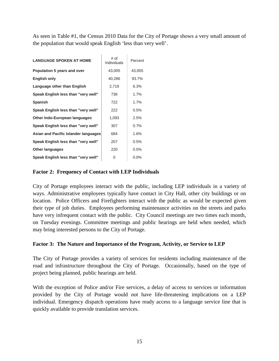As seen in Table #1, the Census 2010 Data for the City of Portage shows a very small amount of the population that would speak English 'less than very well'.

| <b>LANGUAGE SPOKEN AT HOME</b>       | # of<br>Individuals | Percent |
|--------------------------------------|---------------------|---------|
| Population 5 years and over          | 43,005              | 43,005  |
| <b>English only</b>                  | 40,286              | 93.7%   |
| Language other than English          | 2,719               | 6.3%    |
| Speak English less than "very well"  | 736                 | 1.7%    |
| <b>Spanish</b>                       | 722                 | 1.7%    |
| Speak English less than "very well"  | 222                 | 0.5%    |
| Other Indo-European languages        | 1,093               | 2.5%    |
| Speak English less than "very well"  | 307                 | 0.7%    |
| Asian and Pacific Islander languages | 684                 | 1.6%    |
| Speak English less than "very well"  | 207                 | 0.5%    |
| <b>Other languages</b>               | 220                 | 0.5%    |
| Speak English less than "very well"  | 0                   | $0.0\%$ |

## **Factor 2: Frequency of Contact with LEP Individuals**

City of Portage employees interact with the public, including LEP individuals in a variety of ways. Administrative employees typically have contact in City Hall, other city buildings or on location. Police Officers and Firefighters interact with the public as would be expected given their type of job duties. Employees performing maintenance activities on the streets and parks have very infrequent contact with the public. City Council meetings are two times each month, on Tuesday evenings. Committee meetings and public hearings are held when needed, which may bring interested persons to the City of Portage.

#### **Factor 3: The Nature and Importance of the Program, Activity, or Service to LEP**

The City of Portage provides a variety of services for residents including maintenance of the road and infrastructure throughout the City of Portage. Occasionally, based on the type of project being planned, public hearings are held.

With the exception of Police and/or Fire services, a delay of access to services or information provided by the City of Portage would not have life-threatening implications on a LEP individual. Emergency dispatch operations have ready access to a language service line that is quickly available to provide translation services.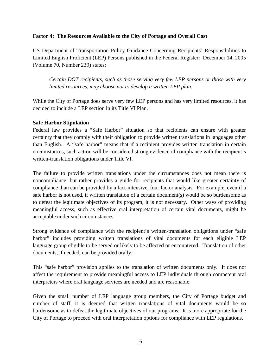## **Factor 4: The Resources Available to the City of Portage and Overall Cost**

US Department of Transportation Policy Guidance Concerning Recipients' Responsibilities to Limited English Proficient (LEP) Persons published in the Federal Register: December 14, 2005 (Volume 70, Number 239) states:

*Certain DOT recipients, such as those serving very few LEP persons or those with very limited resources, may choose not to develop a written LEP plan.*

While the City of Portage does serve very few LEP persons and has very limited resources, it has decided to include a LEP section in its Title VI Plan.

## **Safe Harbor Stipulation**

Federal law provides a "Safe Harbor" situation so that recipients can ensure with greater certainty that they comply with their obligation to provide written translations in languages other than English. A "safe harbor" means that if a recipient provides written translation in certain circumstances, such action will be considered strong evidence of compliance with the recipient's written-translation obligations under Title VI.

The failure to provide written translations under the circumstances does not mean there is noncompliance, but rather provides a guide for recipients that would like greater certainty of compliance than can be provided by a fact-intensive, four factor analysis. For example, even if a safe harbor is not used, if written translation of a certain document(s) would be so burdensome as to defeat the legitimate objectives of its program, it is not necessary. Other ways of providing meaningful access, such as effective oral interpretation of certain vital documents, might be acceptable under such circumstances.

Strong evidence of compliance with the recipient's written-translation obligations under "safe harbor" includes providing written translations of vital documents for each eligible LEP language group eligible to be served or likely to be affected or encountered. Translation of other documents, if needed, can be provided orally.

This "safe harbor" provision applies to the translation of written documents only. It does not affect the requirement to provide meaningful access to LEP individuals through competent oral interpreters where oral language services are needed and are reasonable.

Given the small number of LEP language group members, the City of Portage budget and number of staff, it is deemed that written translations of vital documents would be so burdensome as to defeat the legitimate objectives of our programs. It is more appropriate for the City of Portage to proceed with oral interpretation options for compliance with LEP regulations.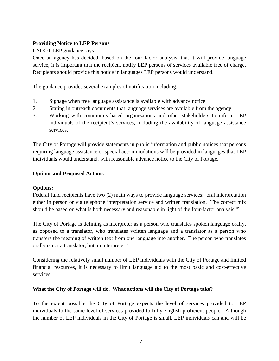## **Providing Notice to LEP Persons**

USDOT LEP guidance says:

Once an agency has decided, based on the four factor analysis, that it will provide language service, it is important that the recipient notify LEP persons of services available free of charge. Recipients should provide this notice in languages LEP persons would understand.

The guidance provides several examples of notification including:

- 1. Signage when free language assistance is available with advance notice.
- 2. Stating in outreach documents that language services are available from the agency.
- 3. Working with community-based organizations and other stakeholders to inform LEP individuals of the recipient's services, including the availability of language assistance services.

The City of Portage will provide statements in public information and public notices that persons requiring language assistance or special accommodations will be provided in languages that LEP individuals would understand, with reasonable advance notice to the City of Portage.

## **Options and Proposed Actions**

## **Options:**

Federal fund recipients have two (2) main ways to provide language services: oral interpretation either in person or via telephone interpretation service and written translation. The correct mix should be based on what is both necessary and reasonable in light of the four-factor analysis.<sup>[iv](#page-36-3)</sup>

The City of Portage is defining as interpreter as a person who translates spoken language orally, as opposed to a translator, who translates written language and a translator as a person who transfers the meaning of written text from one language into another. The person who translates orally is not a translator, but an interpreter.<sup>[v](#page-36-4)</sup>

Considering the relatively small number of LEP individuals with the City of Portage and limited financial resources, it is necessary to limit language aid to the most basic and cost-effective services.

## **What the City of Portage will do. What actions will the City of Portage take?**

To the extent possible the City of Portage expects the level of services provided to LEP individuals to the same level of services provided to fully English proficient people. Although the number of LEP individuals in the City of Portage is small, LEP individuals can and will be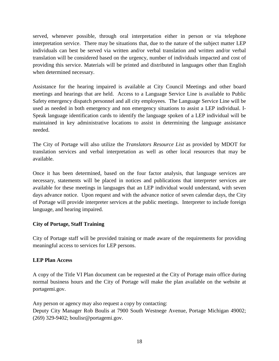served, whenever possible, through oral interpretation either in person or via telephone interpretation service. There may be situations that, due to the nature of the subject matter LEP individuals can best be served via written and/or verbal translation and written and/or verbal translation will be considered based on the urgency, number of individuals impacted and cost of providing this service. Materials will be printed and distributed in languages other than English when determined necessary.

Assistance for the hearing impaired is available at City Council Meetings and other board meetings and hearings that are held. Access to a Language Service Line is available to Public Safety emergency dispatch personnel and all city employees. The Language Service Line will be used as needed in both emergency and non emergency situations to assist a LEP individual. I-Speak language identification cards to identify the language spoken of a LEP individual will be maintained in key administrative locations to assist in determining the language assistance needed.

The City of Portage will also utilize the *Translators Resource List* as provided by MDOT for translation services and verbal interpretation as well as other local resources that may be available.

Once it has been determined, based on the four factor analysis, that language services are necessary, statements will be placed in notices and publications that interpreter services are available for these meetings in languages that an LEP individual would understand, with seven days advance notice. Upon request and with the advance notice of seven calendar days, the City of Portage will provide interpreter services at the public meetings. Interpreter to include foreign language, and hearing impaired.

# **City of Portage, Staff Training**

City of Portage staff will be provided training or made aware of the requirements for providing meaningful access to services for LEP persons.

## **LEP Plan Access**

A copy of the Title VI Plan document can be requested at the City of Portage main office during normal business hours and the City of Portage will make the plan available on the website at portagemi.gov.

Any person or agency may also request a copy by contacting: Deputy City Manager Rob Boulis at 7900 South Westnege Avenue, Portage Michigan 49002; (269) 329-9402; boulisr@portagemi.gov.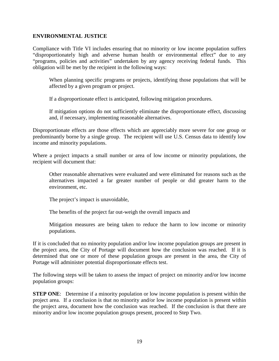#### **ENVIRONMENTAL JUSTICE**

Compliance with Title VI includes ensuring that no minority or low income population suffers "disproportionately high and adverse human health or environmental effect" due to any "programs, policies and activities" undertaken by any agency receiving federal funds. This obligation will be met by the recipient in the following ways:

When planning specific programs or projects, identifying those populations that will be affected by a given program or project.

If a disproportionate effect is anticipated, following mitigation procedures.

If mitigation options do not sufficiently eliminate the disproportionate effect, discussing and, if necessary, implementing reasonable alternatives.

Disproportionate effects are those effects which are appreciably more severe for one group or predominantly borne by a single group. The recipient will use U.S. Census data to identify low income and minority populations.

Where a project impacts a small number or area of low income or minority populations, the recipient will document that:

Other reasonable alternatives were evaluated and were eliminated for reasons such as the alternatives impacted a far greater number of people or did greater harm to the environment, etc.

The project's impact is unavoidable,

The benefits of the project far out-weigh the overall impacts and

Mitigation measures are being taken to reduce the harm to low income or minority populations.

If it is concluded that no minority population and/or low income population groups are present in the project area, the City of Portage will document how the conclusion was reached. If it is determined that one or more of these population groups are present in the area, the City of Portage will administer potential disproportionate effects test.

The following steps will be taken to assess the impact of project on minority and/or low income population groups:

**STEP ONE:** Determine if a minority population or low income population is present within the project area. If a conclusion is that no minority and/or low income population is present within the project area, document how the conclusion was reached. If the conclusion is that there are minority and/or low income population groups present, proceed to Step Two.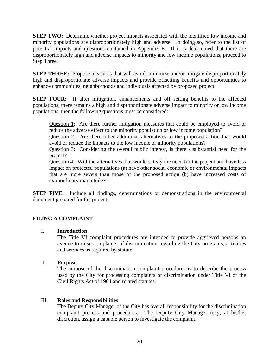**STEP TWO:** Determine whether project impacts associated with the identified low income and minority populations are disproportionately high and adverse. In doing so, refer to the list of potential impacts and questions contained in Appendix E. If it is determined that there are disproportionately high and adverse impacts to minority and low income populations, proceed to Step Three.

**STEP THREE:** Propose measures that will avoid, minimize and/or mitigate disproportionately high and disproportionate adverse impacts and provide offsetting benefits and opportunities to enhance communities, neighborhoods and individuals affected by proposed project.

**STEP FOUR:** If after mitigation, enhancements and off setting benefits to the affected populations, there remains a high and disproportionate adverse impact to minority or low income populations, then the following questions must be considered:

Question 1: Are there further mitigation measures that could be employed to avoid or reduce the adverse effect to the minority population or low income population?

Question 2: Are there other additional alternatives to the proposed action that would avoid or reduce the impacts to the low income or minority populations?

Question 3: Considering the overall public interest, is there a substantial need for the project?

Question 4: Will the alternatives that would satisfy the need for the project and have less impact on protected populations (a) have other social economic or environmental impacts that are more severs than those of the proposed action (b) have increased costs of extraordinary magnitude?

**STEP FIVE:** Include all findings, determinations or demonstrations in the environmental document prepared for the project.

## **FILING A COMPLAINT**

#### I. **Introduction**

The Title VI complaint procedures are intended to provide aggrieved persons an avenue to raise complaints of discrimination regarding the City programs, activities and services as required by statute.

#### II. **Purpose**

The purpose of the discrimination complaint procedures is to describe the process used by the City for processing complaints of discrimination under Title VI of the Civil Rights Act of 1964 and related statutes.

#### III. **Roles and Responsibilities**

The Deputy City Manager of the City has overall responsibility for the discrimination complaint process and procedures. The Deputy City Manager may, at his/her discretion, assign a capable person to investigate the complaint.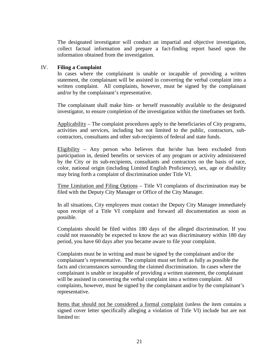The designated investigator will conduct an impartial and objective investigation, collect factual information and prepare a fact-finding report based upon the information obtained from the investigation.

#### IV. **Filing a Complaint**

In cases where the complainant is unable or incapable of providing a written statement, the complainant will be assisted in converting the verbal complaint into a written complaint. All complaints, however, must be signed by the complainant and/or by the complainant's representative.

The complainant shall make him- or herself reasonably available to the designated investigator, to ensure completion of the investigation within the timeframes set forth.

Applicability – The complaint procedures apply to the beneficiaries of City programs, activities and services, including but not limited to the public, contractors, subcontractors, consultants and other sub-recipients of federal and state funds.

Eligibility – Any person who believes that he/she has been excluded from participation in, denied benefits or services of any program or activity administered by the City or its sub-recipients, consultants and contractors on the basis of race, color, national origin (including Limited English Proficiency), sex, age or disability may bring forth a complaint of discrimination under Title VI.

Time Limitation and Filing Options – Title VI complaints of discrimination may be filed with the Deputy City Manager or Office of the City Manager.

In all situations, City employees must contact the Deputy City Manager immediately upon receipt of a Title VI complaint and forward all documentation as soon as possible.

Complaints should be filed within 180 days of the alleged discrimination. If you could not reasonably be expected to know the act was discriminatory within 180 day period, you have 60 days after you became aware to file your complaint.

Complaints must be in writing and must be signed by the complainant and/or the complainant's representative. The complaint must set forth as fully as possible the facts and circumstances surrounding the claimed discrimination. In cases where the complainant is unable or incapable of providing a written statement, the complainant will be assisted in converting the verbal complaint into a written complaint. All complaints, however, must be signed by the complainant and/or by the complainant's representative.

Items that should not be considered a formal complaint (unless the item contains a signed cover letter specifically alleging a violation of Title VI) include but are not limited to: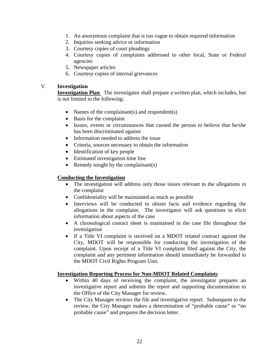- 1. An anonymous complaint that is too vague to obtain required information
- 2. Inquiries seeking advice or information
- 3. Courtesy copies of court pleadings
- 4. Courtesy copies of complaints addressed to other local, State or Federal agencies
- 5. Newspaper articles
- 6. Courtesy copies of internal grievances

## V. **Investigation**

**Investigation Plan** The investigator shall prepare a written plan, which includes, but is not limited to the following:

- Names of the complainant(s) and respondent(s)
- Basis for the complaint
- Issues, events or circumstances that caused the person to believe that he/she has been discriminated against
- Information needed to address the issue
- Criteria, sources necessary to obtain the information
- Identification of key people
- Estimated investigation time line
- Remedy sought by the complainant(s)

## **Conducting the Investigation**

- The investigation will address only those issues relevant to the allegations in the complaint
- Confidentiality will be maintained as much as possible
- Interviews will be conducted to obtain facts and evidence regarding the allegations in the complaint. The investigator will ask questions to elicit information about aspects of the case
- A chronological contact sheet is maintained in the case file throughout the investigation
- If a Title VI complaint is received on a MDOT related contract against the City, MDOT will be responsible for conducting the investigation of the complaint. Upon receipt of a Title VI complaint filed against the City, the complaint and any pertinent information should immediately be forwarded to the MDOT Civil Rights Program Unit.

#### **Investigation Reporting Process for Non-MDOT Related Complaints**

- Within 40 days of receiving the complaint, the investigator prepares an investigative report and submits the report and supporting documentation to the Office of the City Manager for review.
- The City Manager reviews the file and investigative report. Subsequent to the review, the City Manager makes a determination of "probable cause" or "no probable cause" and prepares the decision letter.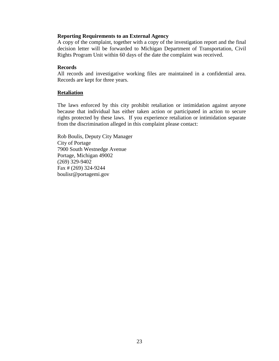#### **Reporting Requirements to an External Agency**

A copy of the complaint, together with a copy of the investigation report and the final decision letter will be forwarded to Michigan Department of Transportation, Civil Rights Program Unit within 60 days of the date the complaint was received.

#### **Records**

All records and investigative working files are maintained in a confidential area. Records are kept for three years.

#### **Retaliation**

The laws enforced by this city prohibit retaliation or intimidation against anyone because that individual has either taken action or participated in action to secure rights protected by these laws. If you experience retaliation or intimidation separate from the discrimination alleged in this complaint please contact:

Rob Boulis, Deputy City Manager City of Portage 7900 South Westnedge Avenue Portage, Michigan 49002 (269) 329-9402 Fax # (269) 324-9244 boulisr@portagemi.gov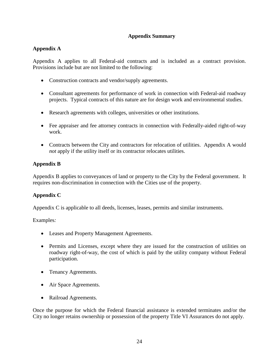## **Appendix Summary**

# **Appendix A**

Appendix A applies to all Federal-aid contracts and is included as a contract provision. Provisions include but are not limited to the following:

- Construction contracts and vendor/supply agreements.
- Consultant agreements for performance of work in connection with Federal-aid roadway projects. Typical contracts of this nature are for design work and environmental studies.
- Research agreements with colleges, universities or other institutions.
- Fee appraiser and fee attorney contracts in connection with Federally-aided right-of-way work.
- Contracts between the City and contractors for relocation of utilities. Appendix A would *not* apply if the utility itself or its contractor relocates utilities.

# **Appendix B**

Appendix B applies to conveyances of land or property to the City by the Federal government. It requires non-discrimination in connection with the Cities use of the property.

## **Appendix C**

Appendix C is applicable to all deeds, licenses, leases, permits and similar instruments.

Examples*:*

- Leases and Property Management Agreements.
- Permits and Licenses, except where they are issued for the construction of utilities on roadway right-of-way, the cost of which is paid by the utility company without Federal participation.
- Tenancy Agreements.
- Air Space Agreements.
- Railroad Agreements.

Once the purpose for which the Federal financial assistance is extended terminates and/or the City no longer retains ownership or possession of the property Title VI Assurances do not apply.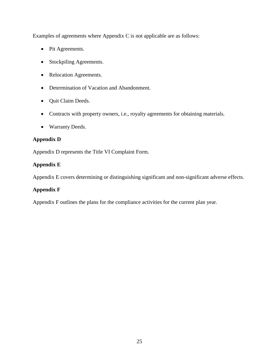Examples of agreements where Appendix C is not applicable are as follows:

- Pit Agreements.
- Stockpiling Agreements.
- Relocation Agreements.
- Determination of Vacation and Abandonment.
- Quit Claim Deeds.
- Contracts with property owners, i.e., royalty agreements for obtaining materials.
- Warranty Deeds.

# **Appendix D**

Appendix D represents the Title VI Complaint Form.

# **Appendix E**

Appendix E covers determining or distinguishing significant and non-significant adverse effects.

# **Appendix F**

Appendix F outlines the plans for the compliance activities for the current plan year.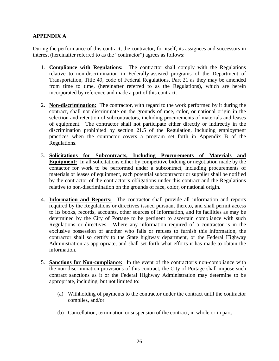## **APPENDIX A**

During the performance of this contract, the contractor, for itself, its assignees and successors in interest (hereinafter referred to as the "contractor") agrees as follows:

- 1. **Compliance with Regulations:** The contractor shall comply with the Regulations relative to non-discrimination in Federally-assisted programs of the Department of Transportation, Title 49, code of Federal Regulations, Part 21 as they may be amended from time to time, (hereinafter referred to as the Regulations), which are herein incorporated by reference and made a part of this contract.
- 2. **Non-discrimination:** The contractor, with regard to the work performed by it during the contract, shall not discriminate on the grounds of race, color, or national origin in the selection and retention of subcontractors, including procurements of materials and leases of equipment. The contractor shall not participate either directly or indirectly in the discrimination prohibited by section 21.5 of the Regulation, including employment practices when the contractor covers a program set forth in Appendix B of the Regulations.
- 3. **Solicitations for Subcontracts, Including Procurements of Materials and Equipment:** In all solicitations either by competitive bidding or negotiation made by the contactor for work to be performed under a subcontract, including procurements of materials or leases of equipment, each potential subcontractor or supplier shall be notified by the contractor of the contractor's obligations under this contract and the Regulations relative to non-discrimination on the grounds of race, color, or national origin.
- 4. **Information and Reports:** The contractor shall provide all information and reports required by the Regulations or directives issued pursuant thereto, and shall permit access to its books, records, accounts, other sources of information, and its facilities as may be determined by the City of Portage to be pertinent to ascertain compliance with such Regulations or directives. Where any information required of a contractor is in the exclusive possession of another who fails or refuses to furnish this information, the contractor shall so certify to the State highway department, or the Federal Highway Administration as appropriate, and shall set forth what efforts it has made to obtain the information.
- 5. **Sanctions for Non-compliance:** In the event of the contractor's non-compliance with the non-discrimination provisions of this contract, the City of Portage shall impose such contract sanctions as it or the Federal Highway Administration may determine to be appropriate, including, but not limited to:
	- (a) Withholding of payments to the contractor under the contract until the contractor complies, and/or
	- (b) Cancellation, termination or suspension of the contract, in whole or in part.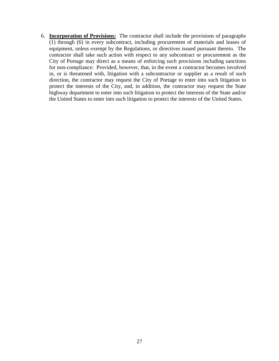6. **Incorporation of Provisions:** The contractor shall include the provisions of paragraphs (1) through (6) in every subcontract, including procurement of materials and leases of equipment, unless exempt by the Regulations, or directives issued pursuant thereto. The contractor shall take such action with respect to any subcontract or procurement as the City of Portage may direct as a means of enforcing such provisions including sanctions for non-compliance: Provided, however, that, in the event a contractor becomes involved in, or is threatened with, litigation with a subcontractor or supplier as a result of such direction, the contractor may request the City of Portage to enter into such litigation to protect the interests of the City, and, in addition, the contractor may request the State highway department to enter into such litigation to protect the interests of the State and/or the United States to enter into such litigation to protect the interests of the United States.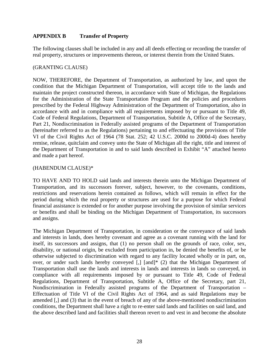## **APPENDIX B Transfer of Property**

The following clauses shall be included in any and all deeds effecting or recording the transfer of real property, structures or improvements thereon, or interest therein from the United States.

#### (GRANTING CLAUSE)

NOW, THEREFORE, the Department of Transportation, as authorized by law, and upon the condition that the Michigan Department of Transportation, will accept title to the lands and maintain the project constructed thereon, in accordance with State of Michigan, the Regulations for the Administration of the State Transportation Program and the policies and procedures prescribed by the Federal Highway Administration of the Department of Transportation, also in accordance with and in compliance with all requirements imposed by or pursuant to Title 49, Code of Federal Regulations, Department of Transportation, Subtitle A, Office of the Secretary, Part 21, Nondiscrimination in Federally assisted programs of the Department of Transportation (hereinafter referred to as the Regulations) pertaining to and effectuating the provisions of Title VI of the Civil Rights Act of 1964 (78 Stat. 252; 42 U.S.C. 2000d to 2000d-4) does hereby remise, release, quitclaim and convey unto the State of Michigan all the right, title and interest of the Department of Transportation in and to said lands described in Exhibit "A" attached hereto and made a part hereof.

## (HABENDUM CLAUSE)\*

TO HAVE AND TO HOLD said lands and interests therein unto the Michigan Department of Transportation, and its successors forever, subject, however, to the covenants, conditions, restrictions and reservations herein contained as follows, which will remain in effect for the period during which the real property or structures are used for a purpose for which Federal financial assistance is extended or for another purpose involving the provision of similar services or benefits and shall be binding on the Michigan Department of Transportation, its successors and assigns.

The Michigan Department of Transportation, in consideration or the conveyance of said lands and interests in lands, does hereby covenant and agree as a covenant running with the land for itself, its successors and assigns, that (1) no person shall on the grounds of race, color, sex, disability, or national origin, be excluded from participation in, be denied the benefits of, or be otherwise subjected to discrimination with regard to any facility located wholly or in part, on, over, or under such lands hereby conveyed [,] [and]\* (2) that the Michigan Department of Transportation shall use the lands and interests in lands and interests in lands so conveyed, in compliance with all requirements imposed by or pursuant to Title 49, Code of Federal Regulations, Department of Transportation, Subtitle A, Office of the Secretary, part 21, Nondiscrimination in Federally assisted programs of the Department of Transportation – Effectuation of Title VI of the Civil Rights Act of 1964, and as said Regulations may be amended [,] and (3) that in the event of breach of any of the above-mentioned nondiscrimination conditions, the Department shall have a right to re-enter said lands and facilities on said land, and the above described land and facilities shall thereon revert to and vest in and become the absolute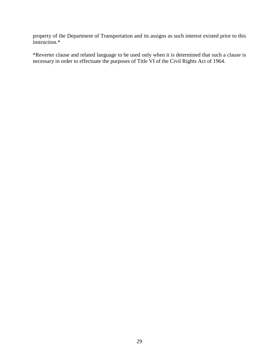property of the Department of Transportation and its assigns as such interest existed prior to this instruction.\*

\*Reverter clause and related language to be used only when it is determined that such a clause is necessary in order to effectuate the purposes of Title VI of the Civil Rights Act of 1964.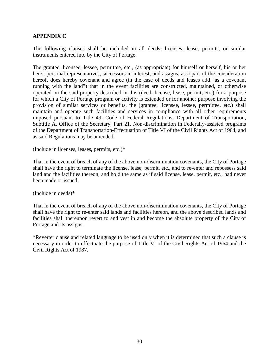## **APPENDIX C**

The following clauses shall be included in all deeds, licenses, lease, permits, or similar instruments entered into by the City of Portage.

The grantee, licensee, lessee, permittee, etc., (as appropriate) for himself or herself, his or her heirs, personal representatives, successors in interest, and assigns, as a part of the consideration hereof, does hereby covenant and agree (in the case of deeds and leases add "as a covenant running with the land") that in the event facilities are constructed, maintained, or otherwise operated on the said property described in this (deed, license, lease, permit, etc.) for a purpose for which a City of Portage program or activity is extended or for another purpose involving the provision of similar services or benefits, the (grantee, licensee, lessee, permittee, etc.) shall maintain and operate such facilities and services in compliance with all other requirements imposed pursuant to Title 49, Code of Federal Regulations, Department of Transportation, Subtitle A, Office of the Secretary, Part 21, Non-discrimination in Federally-assisted programs of the Department of Transportation-Effectuation of Title VI of the Civil Rights Act of 1964, and as said Regulations may be amended.

(Include in licenses, leases, permits, etc.)\*

That in the event of breach of any of the above non-discrimination covenants, the City of Portage shall have the right to terminate the license, lease, permit, etc., and to re-enter and repossess said land and the facilities thereon, and hold the same as if said license, lease, permit, etc., had never been made or issued.

(Include in deeds)\*

That in the event of breach of any of the above non-discrimination covenants, the City of Portage shall have the right to re-enter said lands and facilities hereon, and the above described lands and facilities shall thereupon revert to and vest in and become the absolute property of the City of Portage and its assigns.

\*Reverter clause and related language to be used only when it is determined that such a clause is necessary in order to effectuate the purpose of Title VI of the Civil Rights Act of 1964 and the Civil Rights Act of 1987.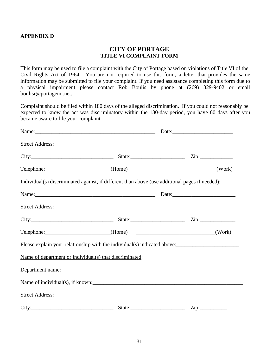#### **APPENDIX D**

# **CITY OF PORTAGE TITLE VI COMPLAINT FORM**

This form may be used to file a complaint with the City of Portage based on violations of Title VI of the Civil Rights Act of 1964. You are not required to use this form; a letter that provides the same information may be submitted to file your complaint. If you need assistance completing this form due to a physical impairment please contact Rob Boulis by phone at (269) 329-9402 or email boulisr@portagemi.net.

Complaint should be filed within 180 days of the alleged discrimination. If you could not reasonably be expected to know the act was discriminatory within the 180-day period, you have 60 days after you became aware to file your complaint.

|                                                         |                                                                                                | City: $\qquad \qquad \text{City:}$ State: $\qquad \qquad \text{Zip:}$                                                                                                                                                          |
|---------------------------------------------------------|------------------------------------------------------------------------------------------------|--------------------------------------------------------------------------------------------------------------------------------------------------------------------------------------------------------------------------------|
|                                                         |                                                                                                | Telephone: ___________________________(Home) ______________________________(Work)                                                                                                                                              |
|                                                         | Individual(s) discriminated against, if different than above (use additional pages if needed): |                                                                                                                                                                                                                                |
|                                                         |                                                                                                | Name: <u>Name:</u> Date: Date: 2004                                                                                                                                                                                            |
|                                                         |                                                                                                |                                                                                                                                                                                                                                |
|                                                         |                                                                                                | City: City: City: City: City: City: City: City: City: City: City: City: City: City: City: City: City: City: City: City: City: City: City: City: City: City: City: City: City: City: City: City: City: City: City: City: City:  |
|                                                         |                                                                                                |                                                                                                                                                                                                                                |
|                                                         |                                                                                                |                                                                                                                                                                                                                                |
| Name of department or individual(s) that discriminated: |                                                                                                |                                                                                                                                                                                                                                |
|                                                         |                                                                                                |                                                                                                                                                                                                                                |
|                                                         |                                                                                                |                                                                                                                                                                                                                                |
|                                                         |                                                                                                | Street Address: No. 2016. The Street Address: No. 2016. The Street Address: No. 2016. The Street Address: No. 2016. The Street Address: No. 2016. The Street Address: No. 2016. The Street Address: No. 2016. The Street Addre |
|                                                         |                                                                                                |                                                                                                                                                                                                                                |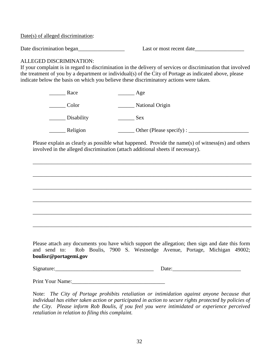Date(s) of alleged discrimination:

Date discrimination began\_\_\_\_\_\_\_\_\_\_\_\_\_\_\_\_\_ Last or most recent date\_\_\_\_\_\_\_\_\_\_\_\_\_\_\_\_\_\_

## ALLEGED DISCRIMINATION:

If your complaint is in regard to discrimination in the delivery of services or discrimination that involved the treatment of you by a department or individual(s) of the City of Portage as indicated above, please indicate below the basis on which you believe these discriminatory actions were taken.

| Race       | Age                     |  |
|------------|-------------------------|--|
| Color      | National Origin         |  |
| Disability | Sex.                    |  |
| Religion   | Other (Please specify): |  |

Please explain as clearly as possible what happened. Provide the name(s) of witness(es) and others involved in the alleged discrimination (attach additional sheets if necessary).

\_\_\_\_\_\_\_\_\_\_\_\_\_\_\_\_\_\_\_\_\_\_\_\_\_\_\_\_\_\_\_\_\_\_\_\_\_\_\_\_\_\_\_\_\_\_\_\_\_\_\_\_\_\_\_\_\_\_\_\_\_\_\_\_\_\_\_\_\_\_\_\_\_\_\_\_\_\_\_\_

\_\_\_\_\_\_\_\_\_\_\_\_\_\_\_\_\_\_\_\_\_\_\_\_\_\_\_\_\_\_\_\_\_\_\_\_\_\_\_\_\_\_\_\_\_\_\_\_\_\_\_\_\_\_\_\_\_\_\_\_\_\_\_\_\_\_\_\_\_\_\_\_\_\_\_\_\_\_\_\_

\_\_\_\_\_\_\_\_\_\_\_\_\_\_\_\_\_\_\_\_\_\_\_\_\_\_\_\_\_\_\_\_\_\_\_\_\_\_\_\_\_\_\_\_\_\_\_\_\_\_\_\_\_\_\_\_\_\_\_\_\_\_\_\_\_\_\_\_\_\_\_\_\_\_\_\_\_\_\_\_

\_\_\_\_\_\_\_\_\_\_\_\_\_\_\_\_\_\_\_\_\_\_\_\_\_\_\_\_\_\_\_\_\_\_\_\_\_\_\_\_\_\_\_\_\_\_\_\_\_\_\_\_\_\_\_\_\_\_\_\_\_\_\_\_\_\_\_\_\_\_\_\_\_\_\_\_\_\_\_\_

\_\_\_\_\_\_\_\_\_\_\_\_\_\_\_\_\_\_\_\_\_\_\_\_\_\_\_\_\_\_\_\_\_\_\_\_\_\_\_\_\_\_\_\_\_\_\_\_\_\_\_\_\_\_\_\_\_\_\_\_\_\_\_\_\_\_\_\_\_\_\_\_\_\_\_\_\_\_\_\_

\_\_\_\_\_\_\_\_\_\_\_\_\_\_\_\_\_\_\_\_\_\_\_\_\_\_\_\_\_\_\_\_\_\_\_\_\_\_\_\_\_\_\_\_\_\_\_\_\_\_\_\_\_\_\_\_\_\_\_\_\_\_\_\_\_\_\_\_\_\_\_\_\_\_\_\_\_\_\_\_

Please attach any documents you have which support the allegation; then sign and date this form and send to: Rob Boulis, 7900 S. Westnedge Avenue, Portage, Michigan 49002; **boulisr@portagemi.gov**

Signature:  $\Box$ 

Print Your Name:

Note: *The City of Portage prohibits retaliation or intimidation against anyone because that individual has either taken action or participated in action to secure rights protected by policies of the City. Please inform Rob Boulis, if you feel you were intimidated or experience perceived retaliation in relation to filing this complaint.*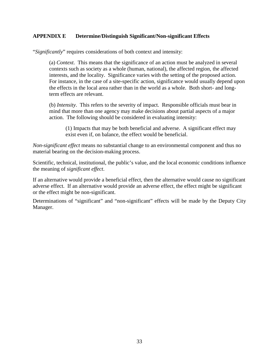## **APPENDIX E Determine/Distinguish Significant/Non-significant Effects**

"*Significantly*" requires considerations of both context and intensity:

(a) *Context*. This means that the significance of an action must be analyzed in several contexts such as society as a whole (human, national), the affected region, the affected interests, and the locality. Significance varies with the setting of the proposed action. For instance, in the case of a site-specific action, significance would usually depend upon the effects in the local area rather than in the world as a whole. Both short- and longterm effects are relevant.

(b) *Intensity*. This refers to the severity of impact. Responsible officials must bear in mind that more than one agency may make decisions about partial aspects of a major action. The following should be considered in evaluating intensity:

(1) Impacts that may be both beneficial and adverse. A significant effect may exist even if, on balance, the effect would be beneficial.

*Non-significant effect* means no substantial change to an environmental component and thus no material bearing on the decision-making process.

Scientific, technical, institutional, the public's value, and the local economic conditions influence the meaning of *significant effect*.

If an alternative would provide a beneficial effect, then the alternative would cause no significant adverse effect. If an alternative would provide an adverse effect, the effect might be significant or the effect might be non-significant.

Determinations of "significant" and "non-significant" effects will be made by the Deputy City Manager.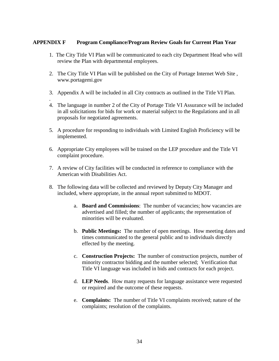#### **APPENDIX F Program Compliance/Program Review Goals for Current Plan Year**

- 1. The City Title VI Plan will be communicated to each city Department Head who will review the Plan with departmental employees.
- 2. The City Title VI Plan will be published on the City of Portage Internet Web Site , www.portagemi.gov
- 3. Appendix A will be included in all City contracts as outlined in the Title VI Plan.
- . 4. The language in number 2 of the City of Portage Title VI Assurance will be included in all solicitations for bids for work or material subject to the Regulations and in all proposals for negotiated agreements.
- 5. A procedure for responding to individuals with Limited English Proficiency will be implemented.
- 6. Appropriate City employees will be trained on the LEP procedure and the Title VI complaint procedure.
- 7. A review of City facilities will be conducted in reference to compliance with the American with Disabilities Act.
- 8. The following data will be collected and reviewed by Deputy City Manager and included, where appropriate, in the annual report submitted to MDOT.
	- a. **Board and Commissions**: The number of vacancies; how vacancies are advertised and filled; the number of applicants; the representation of minorities will be evaluated.
	- b. **Public Meetings:** The number of open meetings. How meeting dates and times communicated to the general public and to individuals directly effected by the meeting.
	- c. **Construction Projects:** The number of construction projects, number of minority contractor bidding and the number selected; Verification that Title VI language was included in bids and contracts for each project.
	- d. **LEP Needs**. How many requests for language assistance were requested or required and the outcome of these requests.
	- e. **Complaints:** The number of Title VI complaints received; nature of the complaints; resolution of the complaints.